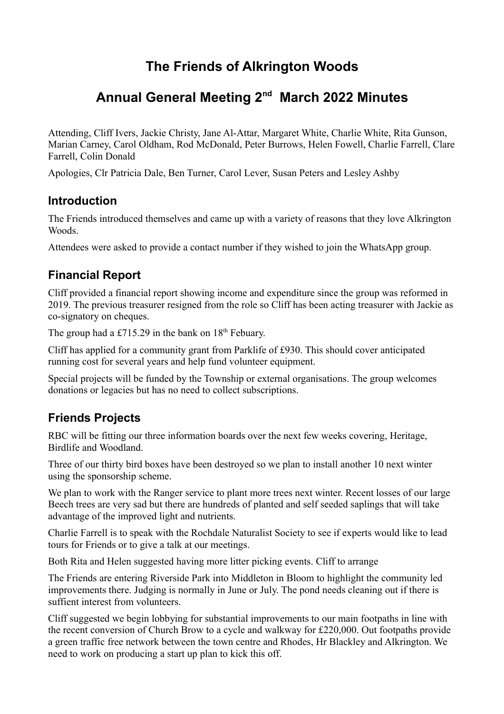# **The Friends of Alkrington Woods**

## **Annual General Meeting 2nd March 2022 Minutes**

Attending, Cliff Ivers, Jackie Christy, Jane Al-Attar, Margaret White, Charlie White, Rita Gunson, Marian Carney, Carol Oldham, Rod McDonald, Peter Burrows, Helen Fowell, Charlie Farrell, Clare Farrell, Colin Donald

Apologies, Clr Patricia Dale, Ben Turner, Carol Lever, Susan Peters and Lesley Ashby

#### **Introduction**

The Friends introduced themselves and came up with a variety of reasons that they love Alkrington Woods.

Attendees were asked to provide a contact number if they wished to join the WhatsApp group.

### **Financial Report**

Cliff provided a financial report showing income and expenditure since the group was reformed in 2019. The previous treasurer resigned from the role so Cliff has been acting treasurer with Jackie as co-signatory on cheques.

The group had a £715.29 in the bank on  $18<sup>th</sup>$  Febuary.

Cliff has applied for a community grant from Parklife of £930. This should cover anticipated running cost for several years and help fund volunteer equipment.

Special projects will be funded by the Township or external organisations. The group welcomes donations or legacies but has no need to collect subscriptions.

#### **Friends Projects**

RBC will be fitting our three information boards over the next few weeks covering, Heritage, Birdlife and Woodland.

Three of our thirty bird boxes have been destroyed so we plan to install another 10 next winter using the sponsorship scheme.

We plan to work with the Ranger service to plant more trees next winter. Recent losses of our large Beech trees are very sad but there are hundreds of planted and self seeded saplings that will take advantage of the improved light and nutrients.

Charlie Farrell is to speak with the Rochdale Naturalist Society to see if experts would like to lead tours for Friends or to give a talk at our meetings.

Both Rita and Helen suggested having more litter picking events. Cliff to arrange

The Friends are entering Riverside Park into Middleton in Bloom to highlight the community led improvements there. Judging is normally in June or July. The pond needs cleaning out if there is suffient interest from volunteers.

Cliff suggested we begin lobbying for substantial improvements to our main footpaths in line with the recent conversion of Church Brow to a cycle and walkway for £220,000. Out footpaths provide a green traffic free network between the town centre and Rhodes, Hr Blackley and Alkrington. We need to work on producing a start up plan to kick this off.